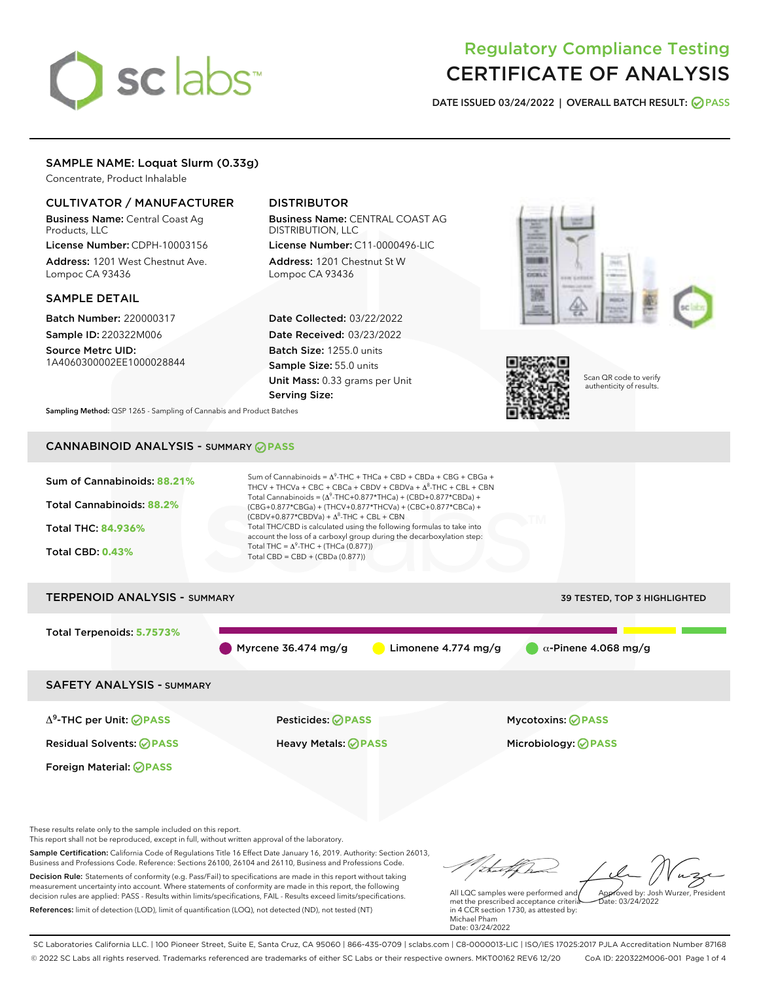# sclabs<sup>\*</sup>

# Regulatory Compliance Testing CERTIFICATE OF ANALYSIS

DATE ISSUED 03/24/2022 | OVERALL BATCH RESULT: @ PASS

# SAMPLE NAME: Loquat Slurm (0.33g)

Concentrate, Product Inhalable

# CULTIVATOR / MANUFACTURER

Business Name: Central Coast Ag Products, LLC

License Number: CDPH-10003156 Address: 1201 West Chestnut Ave. Lompoc CA 93436

# SAMPLE DETAIL

Batch Number: 220000317 Sample ID: 220322M006

Source Metrc UID: 1A4060300002EE1000028844

# DISTRIBUTOR

Business Name: CENTRAL COAST AG DISTRIBUTION, LLC License Number: C11-0000496-LIC

Address: 1201 Chestnut St W Lompoc CA 93436

Date Collected: 03/22/2022 Date Received: 03/23/2022 Batch Size: 1255.0 units Sample Size: 55.0 units Unit Mass: 0.33 grams per Unit Serving Size:





Scan QR code to verify authenticity of results.

Sampling Method: QSP 1265 - Sampling of Cannabis and Product Batches

# CANNABINOID ANALYSIS - SUMMARY **PASS**



These results relate only to the sample included on this report.

This report shall not be reproduced, except in full, without written approval of the laboratory.

Sample Certification: California Code of Regulations Title 16 Effect Date January 16, 2019. Authority: Section 26013, Business and Professions Code. Reference: Sections 26100, 26104 and 26110, Business and Professions Code. Decision Rule: Statements of conformity (e.g. Pass/Fail) to specifications are made in this report without taking

measurement uncertainty into account. Where statements of conformity are made in this report, the following decision rules are applied: PASS - Results within limits/specifications, FAIL - Results exceed limits/specifications. References: limit of detection (LOD), limit of quantification (LOQ), not detected (ND), not tested (NT)

Approved by: Josh Wurzer, President

 $ate: 03/24/2022$ 

All LQC samples were performed and met the prescribed acceptance criteria in 4 CCR section 1730, as attested by: Michael Pham Date: 03/24/2022

SC Laboratories California LLC. | 100 Pioneer Street, Suite E, Santa Cruz, CA 95060 | 866-435-0709 | sclabs.com | C8-0000013-LIC | ISO/IES 17025:2017 PJLA Accreditation Number 87168 © 2022 SC Labs all rights reserved. Trademarks referenced are trademarks of either SC Labs or their respective owners. MKT00162 REV6 12/20 CoA ID: 220322M006-001 Page 1 of 4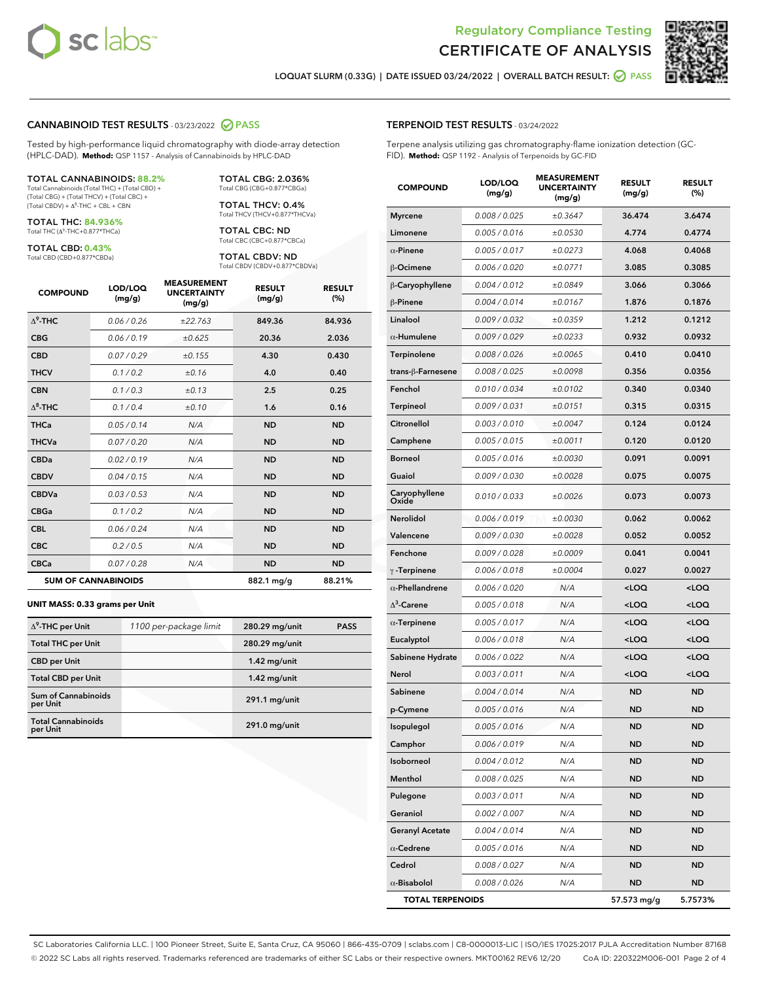



LOQUAT SLURM (0.33G) | DATE ISSUED 03/24/2022 | OVERALL BATCH RESULT: 2 PASS

#### CANNABINOID TEST RESULTS - 03/23/2022 2 PASS

Tested by high-performance liquid chromatography with diode-array detection (HPLC-DAD). **Method:** QSP 1157 - Analysis of Cannabinoids by HPLC-DAD

#### TOTAL CANNABINOIDS: **88.2%**

Total Cannabinoids (Total THC) + (Total CBD) + (Total CBG) + (Total THCV) + (Total CBC) +  $(Total$  CBDV) +  $\Delta$ <sup>8</sup>-THC + CBL + CBN

TOTAL THC: **84.936%** Total THC (Δ<sup>9</sup> -THC+0.877\*THCa)

TOTAL CBD: **0.43%**

Total CBD (CBD+0.877\*CBDa)

TOTAL CBG: 2.036% Total CBG (CBG+0.877\*CBGa)

TOTAL THCV: 0.4% Total THCV (THCV+0.877\*THCVa)

TOTAL CBC: ND Total CBC (CBC+0.877\*CBCa)

TOTAL CBDV: ND Total CBDV (CBDV+0.877\*CBDVa)

| <b>COMPOUND</b> | LOD/LOO<br>(mg/g)          | <b>MEASUREMENT</b><br><b>UNCERTAINTY</b><br>(mg/g) | <b>RESULT</b><br>(mg/g) | <b>RESULT</b><br>(%) |
|-----------------|----------------------------|----------------------------------------------------|-------------------------|----------------------|
| $\Delta^9$ -THC | 0.06/0.26                  | ±22.763                                            | 849.36                  | 84.936               |
| <b>CBG</b>      | 0.06/0.19                  | ±0.625                                             | 20.36                   | 2.036                |
| <b>CBD</b>      | 0.07/0.29                  | ±0.155                                             | 4.30                    | 0.430                |
| <b>THCV</b>     | 0.1/0.2                    | ±0.16                                              | 4.0                     | 0.40                 |
| <b>CBN</b>      | 0.1/0.3                    | ±0.13                                              | 2.5                     | 0.25                 |
| $\Delta^8$ -THC | 0.1 / 0.4                  | ±0.10                                              | 1.6                     | 0.16                 |
| <b>THCa</b>     | 0.05/0.14                  | N/A                                                | <b>ND</b>               | <b>ND</b>            |
| <b>THCVa</b>    | 0.07/0.20                  | N/A                                                | <b>ND</b>               | <b>ND</b>            |
| <b>CBDa</b>     | 0.02/0.19                  | N/A                                                | <b>ND</b>               | <b>ND</b>            |
| <b>CBDV</b>     | 0.04/0.15                  | N/A                                                | <b>ND</b>               | <b>ND</b>            |
| <b>CBDVa</b>    | 0.03 / 0.53                | N/A                                                | <b>ND</b>               | <b>ND</b>            |
| <b>CBGa</b>     | 0.1/0.2                    | N/A                                                | <b>ND</b>               | <b>ND</b>            |
| <b>CBL</b>      | 0.06 / 0.24                | N/A                                                | <b>ND</b>               | <b>ND</b>            |
| <b>CBC</b>      | 0.2 / 0.5                  | N/A                                                | <b>ND</b>               | <b>ND</b>            |
| <b>CBCa</b>     | 0.07/0.28                  | N/A                                                | <b>ND</b>               | <b>ND</b>            |
|                 | <b>SUM OF CANNABINOIDS</b> |                                                    | 882.1 mg/g              | 88.21%               |

#### **UNIT MASS: 0.33 grams per Unit**

| $\Delta^9$ -THC per Unit               | 1100 per-package limit | 280.29 mg/unit | <b>PASS</b> |
|----------------------------------------|------------------------|----------------|-------------|
| <b>Total THC per Unit</b>              |                        | 280.29 mg/unit |             |
| <b>CBD</b> per Unit                    |                        | $1.42$ mg/unit |             |
| <b>Total CBD per Unit</b>              |                        | $1.42$ mg/unit |             |
| <b>Sum of Cannabinoids</b><br>per Unit |                        | 291.1 mg/unit  |             |
| <b>Total Cannabinoids</b><br>per Unit  |                        | 291.0 mg/unit  |             |

#### TERPENOID TEST RESULTS - 03/24/2022

Terpene analysis utilizing gas chromatography-flame ionization detection (GC-FID). **Method:** QSP 1192 - Analysis of Terpenoids by GC-FID

| <b>COMPOUND</b>         | LOD/LOQ<br>(mg/g) | <b>MEASUREMENT</b><br><b>UNCERTAINTY</b><br>(mg/g) | <b>RESULT</b><br>(mg/g)                         | <b>RESULT</b><br>(%) |
|-------------------------|-------------------|----------------------------------------------------|-------------------------------------------------|----------------------|
| <b>Myrcene</b>          | 0.008 / 0.025     | ±0.3647                                            | 36.474                                          | 3.6474               |
| Limonene                | 0.005 / 0.016     | ±0.0530                                            | 4.774                                           | 0.4774               |
| $\alpha$ -Pinene        | 0.005 / 0.017     | ±0.0273                                            | 4.068                                           | 0.4068               |
| β-Ocimene               | 0.006 / 0.020     | ±0.0771                                            | 3.085                                           | 0.3085               |
| β-Caryophyllene         | 0.004 / 0.012     | ±0.0849                                            | 3.066                                           | 0.3066               |
| $\beta$ -Pinene         | 0.004 / 0.014     | ±0.0167                                            | 1.876                                           | 0.1876               |
| Linalool                | 0.009 / 0.032     | ±0.0359                                            | 1.212                                           | 0.1212               |
| $\alpha$ -Humulene      | 0.009 / 0.029     | ±0.0233                                            | 0.932                                           | 0.0932               |
| Terpinolene             | 0.008 / 0.026     | ±0.0065                                            | 0.410                                           | 0.0410               |
| trans-ß-Farnesene       | 0.008 / 0.025     | ±0.0098                                            | 0.356                                           | 0.0356               |
| Fenchol                 | 0.010 / 0.034     | ±0.0102                                            | 0.340                                           | 0.0340               |
| <b>Terpineol</b>        | 0.009 / 0.031     | ±0.0151                                            | 0.315                                           | 0.0315               |
| Citronellol             | 0.003 / 0.010     | ±0.0047                                            | 0.124                                           | 0.0124               |
| Camphene                | 0.005 / 0.015     | ±0.0011                                            | 0.120                                           | 0.0120               |
| <b>Borneol</b>          | 0.005 / 0.016     | ±0.0030                                            | 0.091                                           | 0.0091               |
| Guaiol                  | 0.009 / 0.030     | ±0.0028                                            | 0.075                                           | 0.0075               |
| Caryophyllene<br>Oxide  | 0.010 / 0.033     | ±0.0026                                            | 0.073                                           | 0.0073               |
| <b>Nerolidol</b>        | 0.006 / 0.019     | ±0.0030                                            | 0.062                                           | 0.0062               |
| Valencene               | 0.009 / 0.030     | ±0.0028                                            | 0.052                                           | 0.0052               |
| Fenchone                | 0.009 / 0.028     | ±0.0009                                            | 0.041                                           | 0.0041               |
| $\gamma$ -Terpinene     | 0.006 / 0.018     | ±0.0004                                            | 0.027                                           | 0.0027               |
| $\alpha$ -Phellandrene  | 0.006 / 0.020     | N/A                                                | <loq< th=""><th><loq< th=""></loq<></th></loq<> | <loq< th=""></loq<>  |
| $\Delta^3$ -Carene      | 0.005 / 0.018     | N/A                                                | $<$ LOQ                                         | $<$ LOQ              |
| $\alpha$ -Terpinene     | 0.005 / 0.017     | N/A                                                | <loq< th=""><th><loq< th=""></loq<></th></loq<> | <loq< th=""></loq<>  |
| Eucalyptol              | 0.006 / 0.018     | N/A                                                | <loq< th=""><th><loq< th=""></loq<></th></loq<> | <loq< th=""></loq<>  |
| Sabinene Hydrate        | 0.006 / 0.022     | N/A                                                | <loq< th=""><th><loq< th=""></loq<></th></loq<> | <loq< th=""></loq<>  |
| Nerol                   | 0.003 / 0.011     | N/A                                                | <loq< th=""><th><loq< th=""></loq<></th></loq<> | <loq< th=""></loq<>  |
| Sabinene                | 0.004 / 0.014     | N/A                                                | ND                                              | <b>ND</b>            |
| p-Cymene                | 0.005 / 0.016     | N/A                                                | <b>ND</b>                                       | <b>ND</b>            |
| Isopulegol              | 0.005 / 0.016     | N/A                                                | <b>ND</b>                                       | <b>ND</b>            |
| Camphor                 | 0.006 / 0.019     | N/A                                                | ND                                              | ND                   |
| Isoborneol              | 0.004 / 0.012     | N/A                                                | <b>ND</b>                                       | <b>ND</b>            |
| Menthol                 | 0.008 / 0.025     | N/A                                                | <b>ND</b>                                       | <b>ND</b>            |
| Pulegone                | 0.003 / 0.011     | N/A                                                | ND                                              | ND                   |
| Geraniol                | 0.002 / 0.007     | N/A                                                | <b>ND</b>                                       | ND                   |
| <b>Geranyl Acetate</b>  | 0.004 / 0.014     | N/A                                                | <b>ND</b>                                       | <b>ND</b>            |
| $\alpha$ -Cedrene       | 0.005 / 0.016     | N/A                                                | ND                                              | ND                   |
| Cedrol                  | 0.008 / 0.027     | N/A                                                | <b>ND</b>                                       | ND                   |
| $\alpha$ -Bisabolol     | 0.008 / 0.026     | N/A                                                | <b>ND</b>                                       | <b>ND</b>            |
| <b>TOTAL TERPENOIDS</b> |                   |                                                    | 57.573 mg/g                                     | 5.7573%              |

SC Laboratories California LLC. | 100 Pioneer Street, Suite E, Santa Cruz, CA 95060 | 866-435-0709 | sclabs.com | C8-0000013-LIC | ISO/IES 17025:2017 PJLA Accreditation Number 87168 © 2022 SC Labs all rights reserved. Trademarks referenced are trademarks of either SC Labs or their respective owners. MKT00162 REV6 12/20 CoA ID: 220322M006-001 Page 2 of 4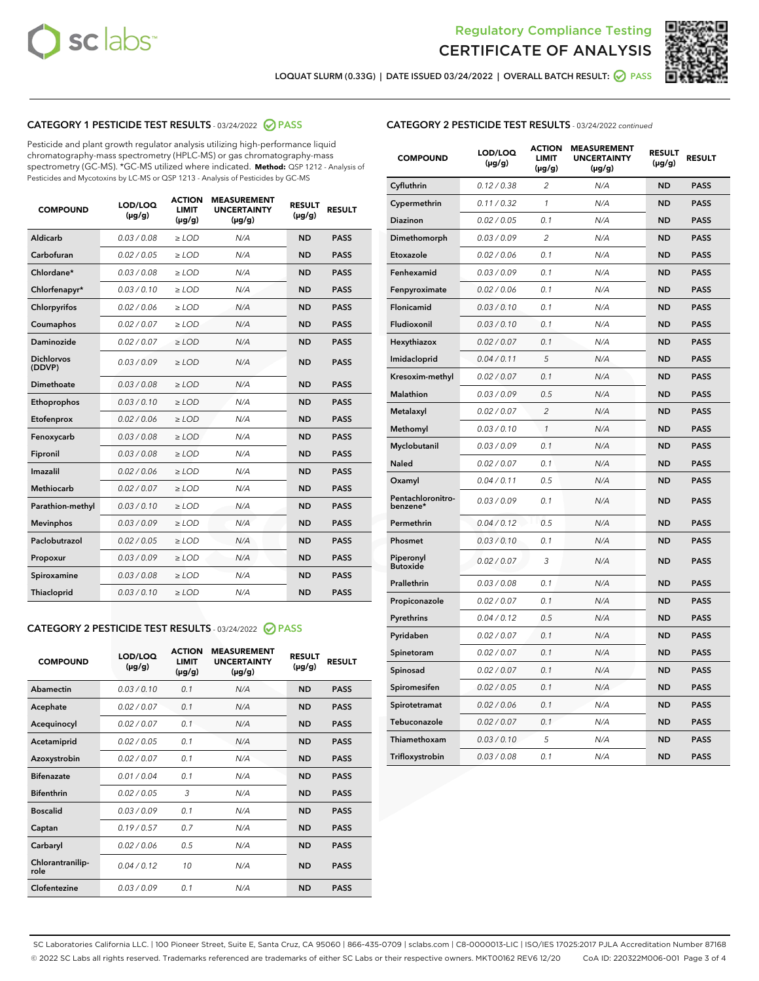



LOQUAT SLURM (0.33G) | DATE ISSUED 03/24/2022 | OVERALL BATCH RESULT: ☑ PASS

# CATEGORY 1 PESTICIDE TEST RESULTS - 03/24/2022 2 PASS

Pesticide and plant growth regulator analysis utilizing high-performance liquid chromatography-mass spectrometry (HPLC-MS) or gas chromatography-mass spectrometry (GC-MS). \*GC-MS utilized where indicated. **Method:** QSP 1212 - Analysis of Pesticides and Mycotoxins by LC-MS or QSP 1213 - Analysis of Pesticides by GC-MS

| 0.03 / 0.08<br><b>ND</b><br>Aldicarb<br>$\ge$ LOD<br>N/A<br><b>PASS</b><br>Carbofuran<br>0.02 / 0.05<br><b>ND</b><br><b>PASS</b><br>$>$ LOD<br>N/A<br>Chlordane*<br>0.03/0.08<br>N/A<br><b>ND</b><br><b>PASS</b><br>$\ge$ LOD<br>Chlorfenapyr*<br>0.03/0.10<br><b>ND</b><br><b>PASS</b><br>$\ge$ LOD<br>N/A<br>0.02/0.06<br>Chlorpyrifos<br>$>$ LOD<br>N/A<br><b>ND</b><br><b>PASS</b><br>0.02 / 0.07<br>N/A<br><b>ND</b><br>Coumaphos<br>$\ge$ LOD<br><b>PASS</b><br>Daminozide<br>0.02 / 0.07<br>N/A<br><b>ND</b><br><b>PASS</b><br>$\ge$ LOD<br><b>Dichlorvos</b><br>0.03/0.09<br>N/A<br><b>ND</b><br>$\ge$ LOD<br><b>PASS</b><br>(DDVP)<br>Dimethoate<br>0.03/0.08<br>N/A<br><b>ND</b><br><b>PASS</b><br>$>$ LOD<br>Ethoprophos<br>0.03/0.10<br>$\ge$ LOD<br>N/A<br><b>ND</b><br><b>PASS</b><br>Etofenprox<br>0.02 / 0.06<br>N/A<br><b>ND</b><br><b>PASS</b><br>$>$ LOD<br>0.03/0.08<br>N/A<br><b>ND</b><br>$>$ LOD<br><b>PASS</b><br>Fenoxycarb<br>0.03 / 0.08<br>$\ge$ LOD<br>N/A<br><b>ND</b><br><b>PASS</b><br>Fipronil<br>Imazalil<br>0.02/0.06<br>$>$ LOD<br>N/A<br><b>ND</b><br><b>PASS</b><br><b>Methiocarb</b><br>0.02 / 0.07<br><b>ND</b><br><b>PASS</b><br>$\ge$ LOD<br>N/A<br>Parathion-methyl<br>0.03/0.10<br>N/A<br><b>ND</b><br><b>PASS</b><br>$\ge$ LOD<br>0.03/0.09<br>N/A<br><b>ND</b><br><b>PASS</b><br><b>Mevinphos</b><br>$>$ LOD<br>Paclobutrazol<br>0.02 / 0.05<br>N/A<br><b>ND</b><br><b>PASS</b><br>$\geq$ LOD<br>0.03/0.09<br>$>$ LOD<br>N/A<br><b>ND</b><br><b>PASS</b><br>Propoxur<br>0.03 / 0.08<br>$\ge$ LOD<br>N/A<br><b>ND</b><br><b>PASS</b><br>Spiroxamine<br>0.03/0.10<br>N/A<br><b>ND</b><br><b>PASS</b><br>Thiacloprid<br>$\ge$ LOD | <b>COMPOUND</b> | LOD/LOQ<br>$(\mu g/g)$ | <b>ACTION</b><br>LIMIT<br>$(\mu g/g)$ | <b>MEASUREMENT</b><br><b>UNCERTAINTY</b><br>$(\mu g/g)$ | <b>RESULT</b><br>$(\mu g/g)$ | <b>RESULT</b> |
|------------------------------------------------------------------------------------------------------------------------------------------------------------------------------------------------------------------------------------------------------------------------------------------------------------------------------------------------------------------------------------------------------------------------------------------------------------------------------------------------------------------------------------------------------------------------------------------------------------------------------------------------------------------------------------------------------------------------------------------------------------------------------------------------------------------------------------------------------------------------------------------------------------------------------------------------------------------------------------------------------------------------------------------------------------------------------------------------------------------------------------------------------------------------------------------------------------------------------------------------------------------------------------------------------------------------------------------------------------------------------------------------------------------------------------------------------------------------------------------------------------------------------------------------------------------------------------------------------------------------------------------------------------------------------|-----------------|------------------------|---------------------------------------|---------------------------------------------------------|------------------------------|---------------|
|                                                                                                                                                                                                                                                                                                                                                                                                                                                                                                                                                                                                                                                                                                                                                                                                                                                                                                                                                                                                                                                                                                                                                                                                                                                                                                                                                                                                                                                                                                                                                                                                                                                                              |                 |                        |                                       |                                                         |                              |               |
|                                                                                                                                                                                                                                                                                                                                                                                                                                                                                                                                                                                                                                                                                                                                                                                                                                                                                                                                                                                                                                                                                                                                                                                                                                                                                                                                                                                                                                                                                                                                                                                                                                                                              |                 |                        |                                       |                                                         |                              |               |
|                                                                                                                                                                                                                                                                                                                                                                                                                                                                                                                                                                                                                                                                                                                                                                                                                                                                                                                                                                                                                                                                                                                                                                                                                                                                                                                                                                                                                                                                                                                                                                                                                                                                              |                 |                        |                                       |                                                         |                              |               |
|                                                                                                                                                                                                                                                                                                                                                                                                                                                                                                                                                                                                                                                                                                                                                                                                                                                                                                                                                                                                                                                                                                                                                                                                                                                                                                                                                                                                                                                                                                                                                                                                                                                                              |                 |                        |                                       |                                                         |                              |               |
|                                                                                                                                                                                                                                                                                                                                                                                                                                                                                                                                                                                                                                                                                                                                                                                                                                                                                                                                                                                                                                                                                                                                                                                                                                                                                                                                                                                                                                                                                                                                                                                                                                                                              |                 |                        |                                       |                                                         |                              |               |
|                                                                                                                                                                                                                                                                                                                                                                                                                                                                                                                                                                                                                                                                                                                                                                                                                                                                                                                                                                                                                                                                                                                                                                                                                                                                                                                                                                                                                                                                                                                                                                                                                                                                              |                 |                        |                                       |                                                         |                              |               |
|                                                                                                                                                                                                                                                                                                                                                                                                                                                                                                                                                                                                                                                                                                                                                                                                                                                                                                                                                                                                                                                                                                                                                                                                                                                                                                                                                                                                                                                                                                                                                                                                                                                                              |                 |                        |                                       |                                                         |                              |               |
|                                                                                                                                                                                                                                                                                                                                                                                                                                                                                                                                                                                                                                                                                                                                                                                                                                                                                                                                                                                                                                                                                                                                                                                                                                                                                                                                                                                                                                                                                                                                                                                                                                                                              |                 |                        |                                       |                                                         |                              |               |
|                                                                                                                                                                                                                                                                                                                                                                                                                                                                                                                                                                                                                                                                                                                                                                                                                                                                                                                                                                                                                                                                                                                                                                                                                                                                                                                                                                                                                                                                                                                                                                                                                                                                              |                 |                        |                                       |                                                         |                              |               |
|                                                                                                                                                                                                                                                                                                                                                                                                                                                                                                                                                                                                                                                                                                                                                                                                                                                                                                                                                                                                                                                                                                                                                                                                                                                                                                                                                                                                                                                                                                                                                                                                                                                                              |                 |                        |                                       |                                                         |                              |               |
|                                                                                                                                                                                                                                                                                                                                                                                                                                                                                                                                                                                                                                                                                                                                                                                                                                                                                                                                                                                                                                                                                                                                                                                                                                                                                                                                                                                                                                                                                                                                                                                                                                                                              |                 |                        |                                       |                                                         |                              |               |
|                                                                                                                                                                                                                                                                                                                                                                                                                                                                                                                                                                                                                                                                                                                                                                                                                                                                                                                                                                                                                                                                                                                                                                                                                                                                                                                                                                                                                                                                                                                                                                                                                                                                              |                 |                        |                                       |                                                         |                              |               |
|                                                                                                                                                                                                                                                                                                                                                                                                                                                                                                                                                                                                                                                                                                                                                                                                                                                                                                                                                                                                                                                                                                                                                                                                                                                                                                                                                                                                                                                                                                                                                                                                                                                                              |                 |                        |                                       |                                                         |                              |               |
|                                                                                                                                                                                                                                                                                                                                                                                                                                                                                                                                                                                                                                                                                                                                                                                                                                                                                                                                                                                                                                                                                                                                                                                                                                                                                                                                                                                                                                                                                                                                                                                                                                                                              |                 |                        |                                       |                                                         |                              |               |
|                                                                                                                                                                                                                                                                                                                                                                                                                                                                                                                                                                                                                                                                                                                                                                                                                                                                                                                                                                                                                                                                                                                                                                                                                                                                                                                                                                                                                                                                                                                                                                                                                                                                              |                 |                        |                                       |                                                         |                              |               |
|                                                                                                                                                                                                                                                                                                                                                                                                                                                                                                                                                                                                                                                                                                                                                                                                                                                                                                                                                                                                                                                                                                                                                                                                                                                                                                                                                                                                                                                                                                                                                                                                                                                                              |                 |                        |                                       |                                                         |                              |               |
|                                                                                                                                                                                                                                                                                                                                                                                                                                                                                                                                                                                                                                                                                                                                                                                                                                                                                                                                                                                                                                                                                                                                                                                                                                                                                                                                                                                                                                                                                                                                                                                                                                                                              |                 |                        |                                       |                                                         |                              |               |
|                                                                                                                                                                                                                                                                                                                                                                                                                                                                                                                                                                                                                                                                                                                                                                                                                                                                                                                                                                                                                                                                                                                                                                                                                                                                                                                                                                                                                                                                                                                                                                                                                                                                              |                 |                        |                                       |                                                         |                              |               |
|                                                                                                                                                                                                                                                                                                                                                                                                                                                                                                                                                                                                                                                                                                                                                                                                                                                                                                                                                                                                                                                                                                                                                                                                                                                                                                                                                                                                                                                                                                                                                                                                                                                                              |                 |                        |                                       |                                                         |                              |               |
|                                                                                                                                                                                                                                                                                                                                                                                                                                                                                                                                                                                                                                                                                                                                                                                                                                                                                                                                                                                                                                                                                                                                                                                                                                                                                                                                                                                                                                                                                                                                                                                                                                                                              |                 |                        |                                       |                                                         |                              |               |
|                                                                                                                                                                                                                                                                                                                                                                                                                                                                                                                                                                                                                                                                                                                                                                                                                                                                                                                                                                                                                                                                                                                                                                                                                                                                                                                                                                                                                                                                                                                                                                                                                                                                              |                 |                        |                                       |                                                         |                              |               |

# CATEGORY 2 PESTICIDE TEST RESULTS - 03/24/2022 @ PASS

| <b>COMPOUND</b>          | LOD/LOQ<br>$(\mu g/g)$ | <b>ACTION</b><br><b>LIMIT</b><br>$(\mu g/g)$ | <b>MEASUREMENT</b><br><b>UNCERTAINTY</b><br>$(\mu g/g)$ | <b>RESULT</b><br>$(\mu g/g)$ | <b>RESULT</b> |
|--------------------------|------------------------|----------------------------------------------|---------------------------------------------------------|------------------------------|---------------|
| Abamectin                | 0.03/0.10              | 0.1                                          | N/A                                                     | <b>ND</b>                    | <b>PASS</b>   |
| Acephate                 | 0.02/0.07              | 0.1                                          | N/A                                                     | <b>ND</b>                    | <b>PASS</b>   |
| Acequinocyl              | 0.02/0.07              | 0.1                                          | N/A                                                     | <b>ND</b>                    | <b>PASS</b>   |
| Acetamiprid              | 0.02/0.05              | 0.1                                          | N/A                                                     | <b>ND</b>                    | <b>PASS</b>   |
| Azoxystrobin             | 0.02 / 0.07            | 0.1                                          | N/A                                                     | <b>ND</b>                    | <b>PASS</b>   |
| <b>Bifenazate</b>        | 0.01/0.04              | 0.1                                          | N/A                                                     | <b>ND</b>                    | <b>PASS</b>   |
| <b>Bifenthrin</b>        | 0.02 / 0.05            | 3                                            | N/A                                                     | <b>ND</b>                    | <b>PASS</b>   |
| <b>Boscalid</b>          | 0.03/0.09              | 0.1                                          | N/A                                                     | <b>ND</b>                    | <b>PASS</b>   |
| Captan                   | 0.19/0.57              | 0.7                                          | N/A                                                     | <b>ND</b>                    | <b>PASS</b>   |
| Carbaryl                 | 0.02/0.06              | 0.5                                          | N/A                                                     | <b>ND</b>                    | <b>PASS</b>   |
| Chlorantranilip-<br>role | 0.04/0.12              | 10                                           | N/A                                                     | <b>ND</b>                    | <b>PASS</b>   |
| Clofentezine             | 0.03/0.09              | 0.1                                          | N/A                                                     | <b>ND</b>                    | <b>PASS</b>   |

# CATEGORY 2 PESTICIDE TEST RESULTS - 03/24/2022 continued

| <b>COMPOUND</b>               | LOD/LOQ<br>(µg/g) | <b>ACTION</b><br><b>LIMIT</b><br>$(\mu g/g)$ | <b>MEASUREMENT</b><br><b>UNCERTAINTY</b><br>$(\mu g/g)$ | <b>RESULT</b><br>(µg/g) | <b>RESULT</b> |
|-------------------------------|-------------------|----------------------------------------------|---------------------------------------------------------|-------------------------|---------------|
| Cyfluthrin                    | 0.12 / 0.38       | $\overline{c}$                               | N/A                                                     | <b>ND</b>               | <b>PASS</b>   |
| Cypermethrin                  | 0.11 / 0.32       | $\mathcal{I}$                                | N/A                                                     | <b>ND</b>               | <b>PASS</b>   |
| <b>Diazinon</b>               | 0.02 / 0.05       | 0.1                                          | N/A                                                     | <b>ND</b>               | <b>PASS</b>   |
| Dimethomorph                  | 0.03 / 0.09       | 2                                            | N/A                                                     | <b>ND</b>               | <b>PASS</b>   |
| Etoxazole                     | 0.02 / 0.06       | 0.1                                          | N/A                                                     | <b>ND</b>               | <b>PASS</b>   |
| Fenhexamid                    | 0.03 / 0.09       | 0.1                                          | N/A                                                     | <b>ND</b>               | <b>PASS</b>   |
| Fenpyroximate                 | 0.02 / 0.06       | 0.1                                          | N/A                                                     | <b>ND</b>               | <b>PASS</b>   |
| Flonicamid                    | 0.03 / 0.10       | 0.1                                          | N/A                                                     | <b>ND</b>               | <b>PASS</b>   |
| Fludioxonil                   | 0.03 / 0.10       | 0.1                                          | N/A                                                     | <b>ND</b>               | <b>PASS</b>   |
| Hexythiazox                   | 0.02 / 0.07       | 0.1                                          | N/A                                                     | <b>ND</b>               | <b>PASS</b>   |
| Imidacloprid                  | 0.04 / 0.11       | 5                                            | N/A                                                     | <b>ND</b>               | <b>PASS</b>   |
| Kresoxim-methyl               | 0.02 / 0.07       | 0.1                                          | N/A                                                     | <b>ND</b>               | <b>PASS</b>   |
| Malathion                     | 0.03 / 0.09       | 0.5                                          | N/A                                                     | <b>ND</b>               | <b>PASS</b>   |
| Metalaxyl                     | 0.02 / 0.07       | $\overline{c}$                               | N/A                                                     | <b>ND</b>               | <b>PASS</b>   |
| Methomyl                      | 0.03 / 0.10       | $\mathcal{I}$                                | N/A                                                     | <b>ND</b>               | <b>PASS</b>   |
| Myclobutanil                  | 0.03 / 0.09       | 0.1                                          | N/A                                                     | <b>ND</b>               | <b>PASS</b>   |
| Naled                         | 0.02 / 0.07       | 0.1                                          | N/A                                                     | <b>ND</b>               | <b>PASS</b>   |
| Oxamyl                        | 0.04 / 0.11       | 0.5                                          | N/A                                                     | <b>ND</b>               | <b>PASS</b>   |
| Pentachloronitro-<br>benzene* | 0.03 / 0.09       | 0.1                                          | N/A                                                     | <b>ND</b>               | <b>PASS</b>   |
| Permethrin                    | 0.04 / 0.12       | 0.5                                          | N/A                                                     | <b>ND</b>               | <b>PASS</b>   |
| Phosmet                       | 0.03 / 0.10       | 0.1                                          | N/A                                                     | <b>ND</b>               | <b>PASS</b>   |
| Piperonyl<br><b>Butoxide</b>  | 0.02 / 0.07       | 3                                            | N/A                                                     | <b>ND</b>               | <b>PASS</b>   |
| Prallethrin                   | 0.03 / 0.08       | 0.1                                          | N/A                                                     | <b>ND</b>               | <b>PASS</b>   |
| Propiconazole                 | 0.02 / 0.07       | 0.1                                          | N/A                                                     | <b>ND</b>               | <b>PASS</b>   |
| Pyrethrins                    | 0.04 / 0.12       | 0.5                                          | N/A                                                     | <b>ND</b>               | <b>PASS</b>   |
| Pyridaben                     | 0.02 / 0.07       | 0.1                                          | N/A                                                     | <b>ND</b>               | <b>PASS</b>   |
| Spinetoram                    | 0.02 / 0.07       | 0.1                                          | N/A                                                     | <b>ND</b>               | <b>PASS</b>   |
| Spinosad                      | 0.02 / 0.07       | 0.1                                          | N/A                                                     | <b>ND</b>               | <b>PASS</b>   |
| Spiromesifen                  | 0.02 / 0.05       | 0.1                                          | N/A                                                     | <b>ND</b>               | <b>PASS</b>   |
| Spirotetramat                 | 0.02 / 0.06       | 0.1                                          | N/A                                                     | <b>ND</b>               | <b>PASS</b>   |
| Tebuconazole                  | 0.02 / 0.07       | 0.1                                          | N/A                                                     | <b>ND</b>               | <b>PASS</b>   |
| Thiamethoxam                  | 0.03 / 0.10       | 5                                            | N/A                                                     | <b>ND</b>               | <b>PASS</b>   |
| Trifloxystrobin               | 0.03 / 0.08       | 0.1                                          | N/A                                                     | <b>ND</b>               | <b>PASS</b>   |

SC Laboratories California LLC. | 100 Pioneer Street, Suite E, Santa Cruz, CA 95060 | 866-435-0709 | sclabs.com | C8-0000013-LIC | ISO/IES 17025:2017 PJLA Accreditation Number 87168 © 2022 SC Labs all rights reserved. Trademarks referenced are trademarks of either SC Labs or their respective owners. MKT00162 REV6 12/20 CoA ID: 220322M006-001 Page 3 of 4